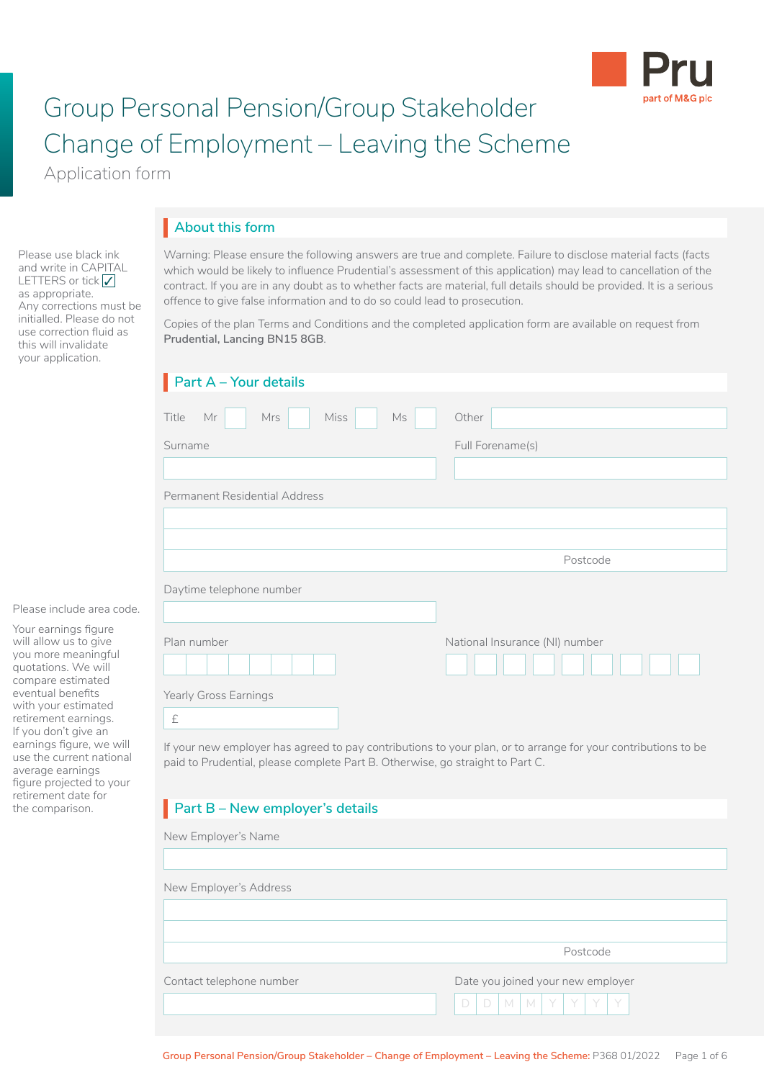

# Group Personal Pension/Group Stakeholder Change of Employment – Leaving the Scheme

Application form

Please use black ink and write in CAPITAL LETTERS or tick  $\sqrt{}$ as appropriate.

Any corrections must be initialled. Please do not use correction fluid as this will invalidate your application.

## **About this form** I

Warning: Please ensure the following answers are true and complete. Failure to disclose material facts (facts which would be likely to influence Prudential's assessment of this application) may lead to cancellation of the contract. If you are in any doubt as to whether facts are material, full details should be provided. It is a serious offence to give false information and to do so could lead to prosecution.

Copies of the plan Terms and Conditions and the completed application form are available on request from **Prudential, Lancing BN15 8GB**.

| $\blacksquare$ Part A - Your details                                                                                                                                                           |                                |
|------------------------------------------------------------------------------------------------------------------------------------------------------------------------------------------------|--------------------------------|
| Title<br>Mrs<br><b>Miss</b><br><b>Ms</b><br>Mr                                                                                                                                                 | Other                          |
| Surname                                                                                                                                                                                        | Full Forename(s)               |
|                                                                                                                                                                                                |                                |
| Permanent Residential Address                                                                                                                                                                  |                                |
|                                                                                                                                                                                                |                                |
|                                                                                                                                                                                                |                                |
|                                                                                                                                                                                                | Postcode                       |
| Daytime telephone number                                                                                                                                                                       |                                |
|                                                                                                                                                                                                |                                |
| Plan number                                                                                                                                                                                    | National Insurance (NI) number |
|                                                                                                                                                                                                |                                |
| Yearly Gross Earnings                                                                                                                                                                          |                                |
| £                                                                                                                                                                                              |                                |
| If your new employer has agreed to pay contributions to your plan, or to arrange for your contributions to be<br>paid to Prudential, please complete Part B. Otherwise, go straight to Part C. |                                |

## **Part B – New employer's details**

| New Employer's Name      |                                   |
|--------------------------|-----------------------------------|
|                          |                                   |
| New Employer's Address   |                                   |
|                          |                                   |
|                          | Postcode                          |
|                          |                                   |
| Contact telephone number | Date you joined your new employer |
|                          | $D   D   M   M   Y   Y   Y   Y$   |

Please include area code.

Your earnings figure will allow us to give you more meaningful quotations. We will compare estimated eventual benefits with your estimated retirement earnings. If you don't give an earnings figure, we will use the current national average earnings figure projected to your retirement date for the comparison.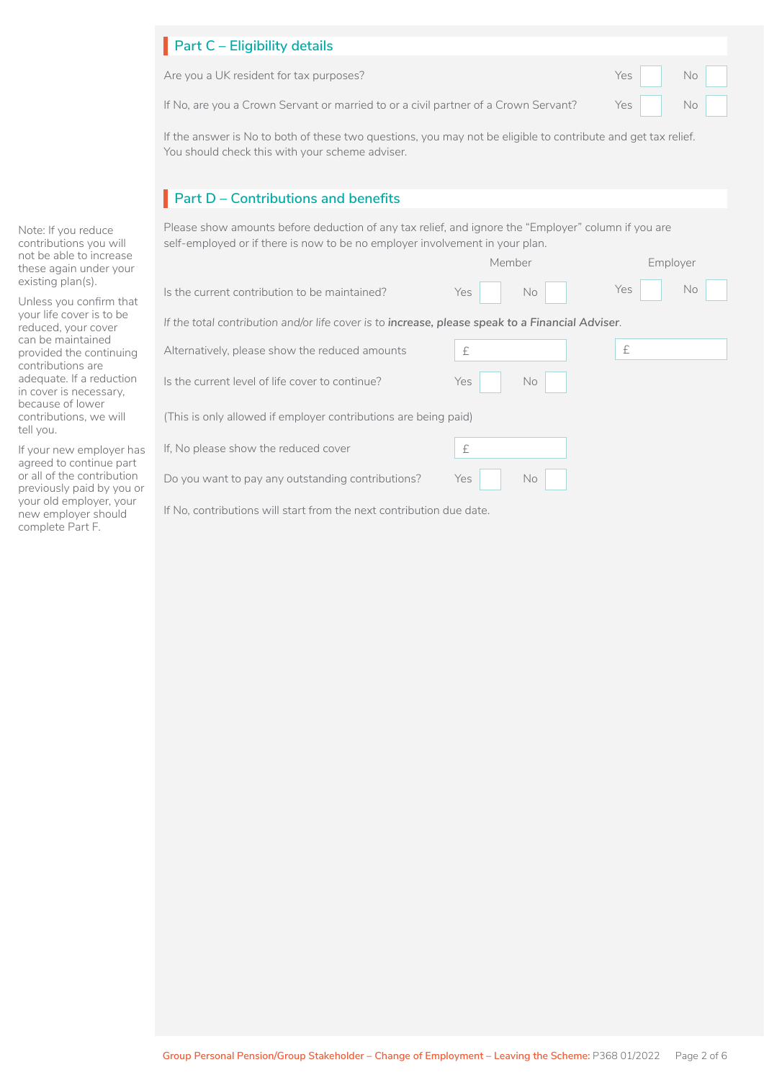| $\blacksquare$ Part C – Eligibility details                                                                                                |        |
|--------------------------------------------------------------------------------------------------------------------------------------------|--------|
| Are you a UK resident for tax purposes?                                                                                                    | Yes No |
| If No, are you a Crown Servant or married to or a civil partner of a Crown Servant? $\qquad \qquad$ Yes $\qquad \qquad$ No $\qquad \qquad$ |        |

If the answer is No to both of these two questions, you may not be eligible to contribute and get tax relief. You should check this with your scheme adviser.

## **Part D – Contributions and benefits**

Is the current level of life cover to continue? Yes No Do you want to pay any outstanding contributions? Yes No Is the current contribution to be maintained? If No, contributions will start from the next contribution due date. Please show amounts before deduction of any tax relief, and ignore the "Employer" column if you are self-employed or if there is now to be no employer involvement in your plan. Yes No Member Yes No Employer *If the total contribution and/or life cover is to increase, please speak to a Financial Adviser*. If, No please show the reduced cover  $\mathbf{f}$ Alternatively, please show the reduced amounts  $\left| \begin{array}{ccc} \text{f} & \text{f} & \text{f} \end{array} \right|$ (This is only allowed if employer contributions are being paid) The Second Second Second Second Second Second Second Second Second Second Second Second Second Second Second S l □  $\Box$ 

Note: If you reduce contributions you will not be able to increase these again under your existing plan(s).

Unless you confirm that your life cover is to be reduced, your cover can be maintained provided the continuing contributions are adequate. If a reduction in cover is necessary, because of lower contributions, we will tell you.

If your new employer has agreed to continue part or all of the contribution previously paid by you or your old employer, your new employer should complete Part F.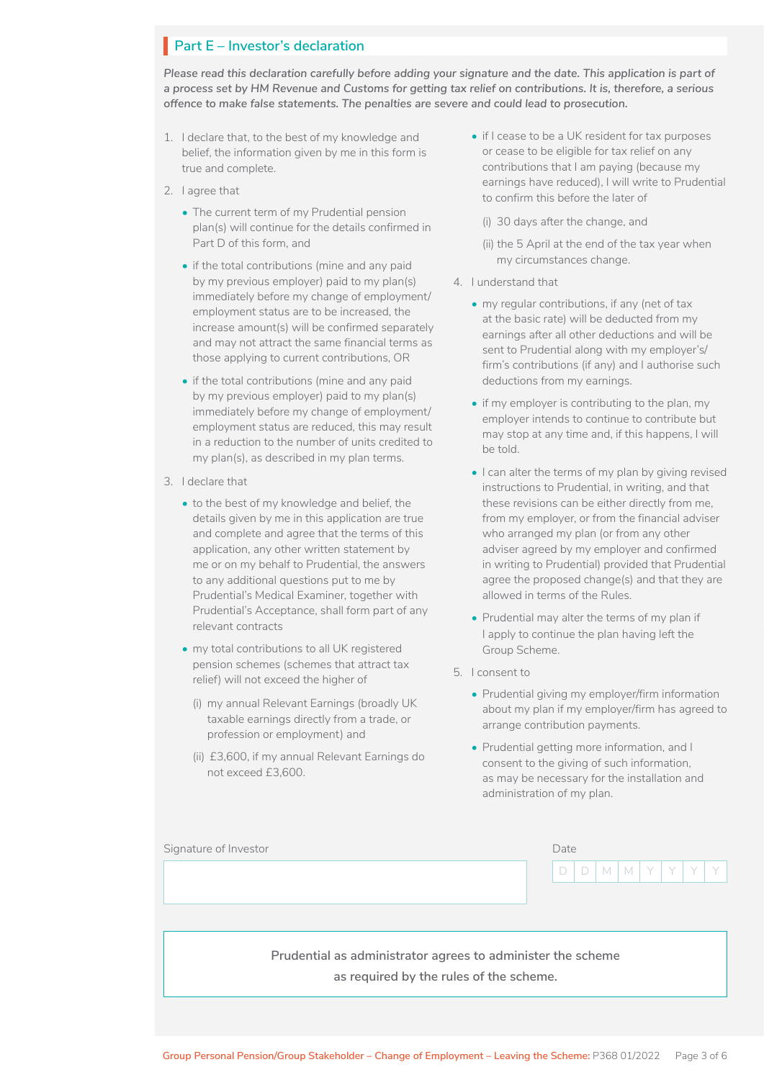## **Part E – Investor's declaration**

*Please read this declaration carefully before adding your signature and the date. This application is part of a process set by HM Revenue and Customs for getting tax relief on contributions. It is, therefore, a serious offence to make false statements. The penalties are severe and could lead to prosecution.*

- 1. I declare that, to the best of my knowledge and belief, the information given by me in this form is true and complete.
- 2. I agree that
	- The current term of my Prudential pension plan(s) will continue for the details confirmed in Part D of this form, and
	- if the total contributions (mine and any paid by my previous employer) paid to my plan(s) immediately before my change of employment/ employment status are to be increased, the increase amount(s) will be confirmed separately and may not attract the same financial terms as those applying to current contributions, OR
	- if the total contributions (mine and any paid by my previous employer) paid to my plan(s) immediately before my change of employment/ employment status are reduced, this may result in a reduction to the number of units credited to my plan(s), as described in my plan terms.
- 3. I declare that
	- to the best of my knowledge and belief, the details given by me in this application are true and complete and agree that the terms of this application, any other written statement by me or on my behalf to Prudential, the answers to any additional questions put to me by Prudential's Medical Examiner, together with Prudential's Acceptance, shall form part of any relevant contracts
	- my total contributions to all UK registered pension schemes (schemes that attract tax relief) will not exceed the higher of
		- (i) my annual Relevant Earnings (broadly UK taxable earnings directly from a trade, or profession or employment) and
		- (ii) £3,600, if my annual Relevant Earnings do not exceed £3,600.
- if I cease to be a UK resident for tax purposes or cease to be eligible for tax relief on any contributions that I am paying (because my earnings have reduced), I will write to Prudential to confirm this before the later of
	- (i) 30 days after the change, and
	- (ii) the 5 April at the end of the tax year when my circumstances change.
- 4. I understand that
	- my regular contributions, if any (net of tax at the basic rate) will be deducted from my earnings after all other deductions and will be sent to Prudential along with my employer's/ firm's contributions (if any) and I authorise such deductions from my earnings.
	- if my employer is contributing to the plan, my employer intends to continue to contribute but may stop at any time and, if this happens, I will be told.
	- I can alter the terms of my plan by giving revised instructions to Prudential, in writing, and that these revisions can be either directly from me, from my employer, or from the financial adviser who arranged my plan (or from any other adviser agreed by my employer and confirmed in writing to Prudential) provided that Prudential agree the proposed change(s) and that they are allowed in terms of the Rules.
	- Prudential may alter the terms of my plan if I apply to continue the plan having left the Group Scheme.
- 5. I consent to
	- Prudential giving my employer/firm information about my plan if my employer/firm has agreed to arrange contribution payments.
	- Prudential getting more information, and I consent to the giving of such information, as may be necessary for the installation and administration of my plan.

| Signature of Investor | Date |  |  |  |  |  |  |                     |
|-----------------------|------|--|--|--|--|--|--|---------------------|
|                       |      |  |  |  |  |  |  | $D D D M M Y Y Y Y$ |
|                       |      |  |  |  |  |  |  |                     |
|                       |      |  |  |  |  |  |  |                     |

**Prudential as administrator agrees to administer the scheme as required by the rules of the scheme.**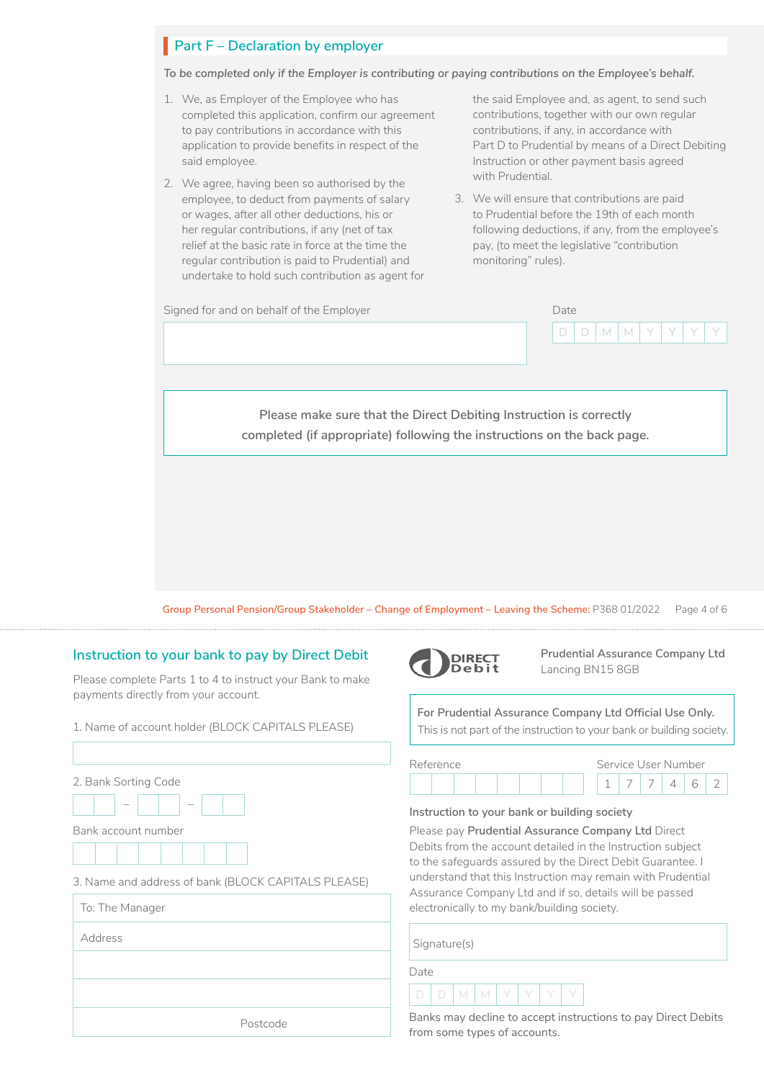## **Part F** – Declaration by employer

*To be completed only if the Employer is contributing or paying contributions on the Employee's behalf.*

- 1. We, as Employer of the Employee who has completed this application, confirm our agreement to pay contributions in accordance with this application to provide benefits in respect of the said employee.
- 2. We agree, having been so authorised by the employee, to deduct from payments of salary or wages, after all other deductions, his or her regular contributions, if any (net of tax relief at the basic rate in force at the time the regular contribution is paid to Prudential) and undertake to hold such contribution as agent for

the said Employee and, as agent, to send such contributions, together with our own regular contributions, if any, in accordance with Part D to Prudential by means of a Direct Debiting Instruction or other payment basis agreed with Prudential.

3. We will ensure that contributions are paid to Prudential before the 19th of each month following deductions, if any, from the employee's pay, (to meet the legislative "contribution monitoring" rules).



**Group Personal Pension/Group Stakeholder – Change of Employment – Leaving the Scheme:** P368 01/2022 Page 4 of 6

### **Instruction to your bank to pay by Direct Debit**

Please complete Parts 1 to 4 to instruct your Bank to make payments directly from your account.

#### 1. Name of account holder (BLOCK CAPITALS PLEASE)

| 2. Bank Sorting Code                                |
|-----------------------------------------------------|
| Bank account number                                 |
|                                                     |
| 3. Name and address of bank (BLOCK CAPITALS PLEASE) |
| To: The Manager                                     |
| Address                                             |
|                                                     |
|                                                     |
|                                                     |



**Prudential Assurance Company Ltd**  Lancing BN15 8GB

**For Prudential Assurance Company Ltd Official Use Only.**  This is not part of the instruction to your bank or building society.

| Reference |  |  |  |  | Service User Number |  |  |  |  |
|-----------|--|--|--|--|---------------------|--|--|--|--|
|           |  |  |  |  |                     |  |  |  |  |

#### **Instruction to your bank or building society**

Please pay **Prudential Assurance Company Ltd** Direct Debits from the account detailed in the Instruction subject to the safeguards assured by the Direct Debit Guarantee. I understand that this Instruction may remain with Prudential Assurance Company Ltd and if so, details will be passed electronically to my bank/building society.

Signature(s)

Date

D | D | M | M | Y | Y | Y | Y

Banks may decline to accept instructions to pay Direct Debits from some types of accounts.

Postcode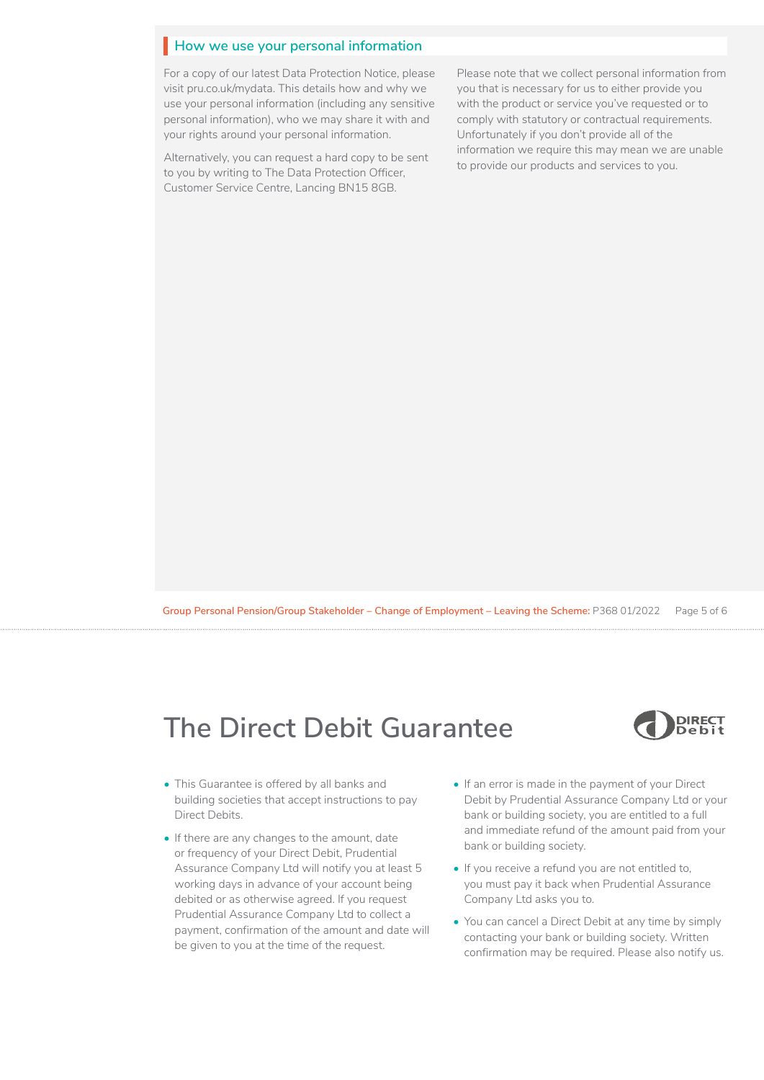## **How we use your personal information**

For a copy of our latest Data Protection Notice, please visit [pru.co.uk/mydata.](https://www.pru.co.uk/mydata) This details how and why we use your personal information (including any sensitive personal information), who we may share it with and your rights around your personal information.

Alternatively, you can request a hard copy to be sent to you by writing to The Data Protection Officer, Customer Service Centre, Lancing BN15 8GB.

Please note that we collect personal information from you that is necessary for us to either provide you with the product or service you've requested or to comply with statutory or contractual requirements. Unfortunately if you don't provide all of the information we require this may mean we are unable to provide our products and services to you.

**Group Personal Pension/Group Stakeholder – Change of Employment – Leaving the Scheme:** P368 01/2022 Page 5 of 6

# **The Direct Debit Guarantee**



- This Guarantee is offered by all banks and building societies that accept instructions to pay Direct Debits.
- If there are any changes to the amount, date or frequency of your Direct Debit, Prudential Assurance Company Ltd will notify you at least 5 working days in advance of your account being debited or as otherwise agreed. If you request Prudential Assurance Company Ltd to collect a payment, confirmation of the amount and date will be given to you at the time of the request.
- If an error is made in the payment of your Direct Debit by Prudential Assurance Company Ltd or your bank or building society, you are entitled to a full and immediate refund of the amount paid from your bank or building society.
- If you receive a refund you are not entitled to, you must pay it back when Prudential Assurance Company Ltd asks you to.
- You can cancel a Direct Debit at any time by simply contacting your bank or building society. Written confirmation may be required. Please also notify us.